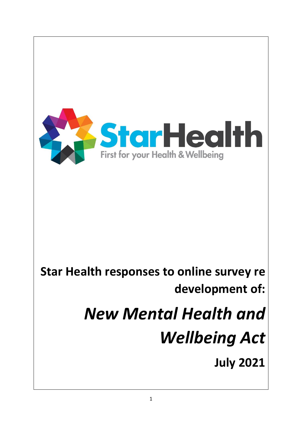

## **Star Health responses to online survey re development of:**

# *New Mental Health and Wellbeing Act*

**July 2021**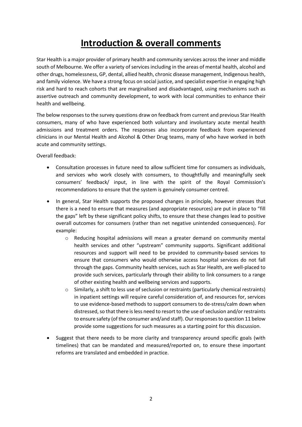## **Introduction & overall comments**

Star Health is a major provider of primary health and community services across the inner and middle south of Melbourne. We offer a variety of services including in the areas of mental health, alcohol and other drugs, homelessness, GP, dental, allied health, chronic disease management, Indigenous health, and family violence. We have a strong focus on social justice, and specialist expertise in engaging high risk and hard to reach cohorts that are marginalised and disadvantaged, using mechanisms such as assertive outreach and community development, to work with local communities to enhance their health and wellbeing.

The below responses to the survey questions draw on feedback from current and previous Star Health consumers, many of who have experienced both voluntary and involuntary acute mental health admissions and treatment orders. The responses also incorporate feedback from experienced clinicians in our Mental Health and Alcohol & Other Drug teams, many of who have worked in both acute and community settings.

Overall feedback:

- Consultation processes in future need to allow sufficient time for consumers as individuals, and services who work closely with consumers, to thoughtfully and meaningfully seek consumers' feedback/ input, in line with the spirit of the Royal Commission's recommendations to ensure that the system is genuinely consumer centred.
- In general, Star Health supports the proposed changes in principle, however stresses that there is a need to ensure that measures (and appropriate resources) are put in place to "fill the gaps" left by these significant policy shifts, to ensure that these changes lead to positive overall outcomes for consumers (rather than net negative unintended consequences). For example:
	- o Reducing hospital admissions will mean a greater demand on community mental health services and other "upstream" community supports. Significant additional resources and support will need to be provided to community-based services to ensure that consumers who would otherwise access hospital services do not fall through the gaps. Community health services, such as Star Health, are well-placed to provide such services, particularly through their ability to link consumers to a range of other existing health and wellbeing services and supports.
	- $\circ$  Similarly, a shift to less use of seclusion or restraints (particularly chemical restraints) in inpatient settings will require careful consideration of, and resources for, services to use evidence-based methods to support consumers to de-stress/calm down when distressed, so that there is less need to resort to the use of seclusion and/or restraints to ensure safety (of the consumer and/and staff). Our responses to question 11 below provide some suggestions for such measures as a starting point for this discussion.
- Suggest that there needs to be more clarity and transparency around specific goals (with timelines) that can be mandated and measured/reported on, to ensure these important reforms are translated and embedded in practice.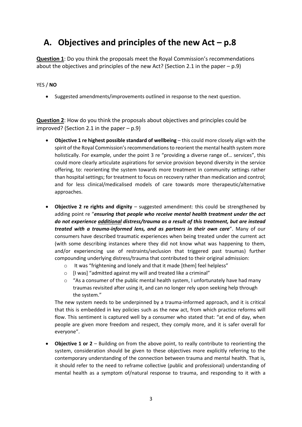## **A. Objectives and principles of the new Act – p.8**

**Question 1**: Do you think the proposals meet the Royal Commission's recommendations about the objectives and principles of the new Act? (Section 2.1 in the paper  $-$  p.9)

#### YES / **NO**

• Suggested amendments/improvements outlined in response to the next question.

**Question 2**: How do you think the proposals about objectives and principles could be improved? (Section 2.1 in the paper  $-$  p.9)

- **Objective 1 re highest possible standard of wellbeing** this could more closely align with the spirit of the Royal Commission's recommendations to reorient the mental health system more holistically. For example, under the point 3 re "providing a diverse range of… services", this could more clearly articulate aspirations for service provision beyond diversity in the service offering, to: reorienting the system towards more treatment in community settings rather than hospital settings; for treatment to focus on recovery rather than medication and control; and for less clinical/medicalised models of care towards more therapeutic/alternative approaches.
- **Objective 2 re rights and dignity**  suggested amendment: this could be strengthened by adding point re "*ensuring that people who receive mental health treatment under the act do not experience additional distress/trauma as a result of this treatment, but are instead treated with a trauma-informed lens, and as partners in their own care*". Many of our consumers have described traumatic experiences when being treated under the current act (with some describing instances where they did not know what was happening to them, and/or experiencing use of restraints/seclusion that triggered past traumas) further compounding underlying distress/trauma that contributed to their original admission:
	- o It was "frightening and lonely and that it made [them] feel helpless"
	- $\circ$  [I was] "admitted against my will and treated like a criminal"
	- $\circ$  "As a consumer of the public mental health system, I unfortunately have had many traumas revisited after using it, and can no longer rely upon seeking help through the system."

The new system needs to be underpinned by a trauma-informed approach, and it is critical that this is embedded in key policies such as the new act, from which practice reforms will flow. This sentiment is captured well by a consumer who stated that: "at end of day, when people are given more freedom and respect, they comply more, and it is safer overall for everyone".

• **Objective 1 or 2** – Building on from the above point, to really contribute to reorienting the system, consideration should be given to these objectives more explicitly referring to the contemporary understanding of the connection between trauma and mental health. That is, it should refer to the need to reframe collective (public and professional) understanding of mental health as a symptom of/natural response to trauma, and responding to it with a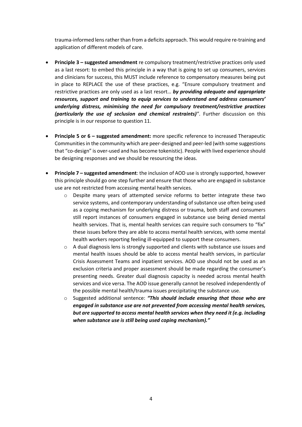trauma-informed lens rather than from a deficits approach. This would require re-training and application of different models of care.

- **Principle 3 – suggested amendment** re compulsory treatment/restrictive practices only used as a last resort: to embed this principle in a way that is going to set up consumers, services and clinicians for success, this MUST include reference to compensatory measures being put in place to REPLACE the use of these practices, e.g. "Ensure compulsory treatment and restrictive practices are only used as a last resort… *by providing adequate and appropriate resources, support and training to equip services to understand and address consumers' underlying distress, minimising the need for compulsory treatment/restrictive practices (particularly the use of seclusion and chemical restraints)"*. Further discussion on this principle is in our response to question 11.
- **Principle 5 or 6 – suggested amendment:** more specific reference to increased Therapeutic Communities in the community which are peer-designed and peer-led (with some suggestions that "co-design" is over-used and has become tokenistic). People with lived experience should be designing responses and we should be resourcing the ideas.
- **Principle 7 – suggested amendment**: the inclusion of AOD use is strongly supported, however this principle should go one step further and ensure that those who are engaged in substance use are not restricted from accessing mental health services.
	- o Despite many years of attempted service reforms to better integrate these two service systems, and contemporary understanding of substance use often being used as a coping mechanism for underlying distress or trauma, both staff and consumers still report instances of consumers engaged in substance use being denied mental health services. That is, mental health services can require such consumers to "fix" these issues before they are able to access mental health services, with some mental health workers reporting feeling ill-equipped to support these consumers.
	- o A dual diagnosis lens is strongly supported and clients with substance use issues and mental health issues should be able to access mental health services, in particular Crisis Assessment Teams and inpatient services. AOD use should not be used as an exclusion criteria and proper assessment should be made regarding the consumer's presenting needs. Greater dual diagnosis capacity is needed across mental health services and vice versa. The AOD issue generally cannot be resolved independently of the possible mental health/trauma issues precipitating the substance use.
	- o Suggested additional sentence: *"This should include ensuring that those who are engaged in substance use are not prevented from accessing mental health services, but are supported to access mental health services when they need it (e.g. including when substance use is still being used coping mechanism)."*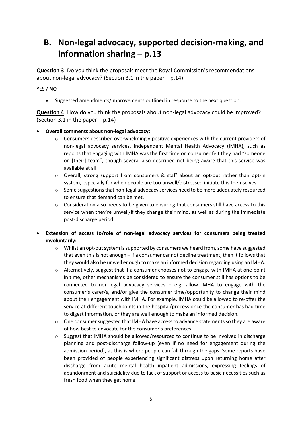## **B. Non-legal advocacy, supported decision-making, and information sharing – p.13**

**Question 3**: Do you think the proposals meet the Royal Commission's recommendations about non-legal advocacy? (Section 3.1 in the paper – p.14)

YES / **NO**

• Suggested amendments/improvements outlined in response to the next question.

**Question 4**: How do you think the proposals about non-legal advocacy could be improved? (Section 3.1 in the paper  $-$  p.14)

#### • **Overall comments about non-legal advocacy:**

- o Consumers described overwhelmingly positive experiences with the current providers of non-legal advocacy services, Independent Mental Health Advocacy (IMHA), such as reports that engaging with IMHA was the first time on consumer felt they had "someone on [their] team", though several also described not being aware that this service was available at all.
- o Overall, strong support from consumers & staff about an opt-out rather than opt-in system, especially for when people are too unwell/distressed initiate this themselves.
- o Some suggestions that non-legal advocacy services need to be more adequately resourced to ensure that demand can be met.
- o Consideration also needs to be given to ensuring that consumers still have access to this service when they're unwell/if they change their mind, as well as during the immediate post-discharge period.
- **Extension of access to/role of non-legal advocacy services for consumers being treated involuntarily:**
	- $\circ$  Whilst an opt-out system is supported by consumers we heard from, some have suggested that even this is not enough – if a consumer cannot decline treatment, then it follows that they would also be unwell enough to make an informed decision regarding using an IMHA.
	- $\circ$  Alternatively, suggest that if a consumer chooses not to engage with IMHA at one point in time, other mechanisms be considered to ensure the consumer still has options to be connected to non-legal advocacy services – e.g. allow IMHA to engage with the consumer's carer/s, and/or give the consumer time/opportunity to change their mind about their engagement with IMHA. For example, IMHA could be allowed to re-offer the service at different touchpoints in the hospital/process once the consumer has had time to digest information, or they are well enough to make an informed decision.
	- $\circ$  One consumer suggested that IMHA have access to advance statements so they are aware of how best to advocate for the consumer's preferences.
	- $\circ$  Suggest that IMHA should be allowed/resourced to continue to be involved in discharge planning and post-discharge follow-up (even if no need for engagement during the admission period), as this is where people can fall through the gaps. Some reports have been provided of people experiencing significant distress upon returning home after discharge from acute mental health inpatient admissions, expressing feelings of abandonment and suicidality due to lack of support or access to basic necessities such as fresh food when they get home.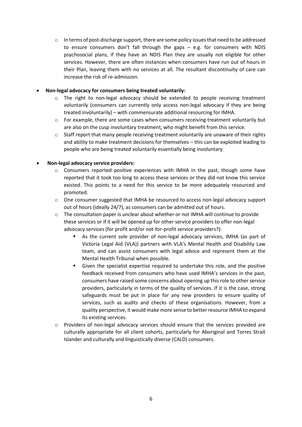$\circ$  In terms of post-discharge support, there are some policy issues that need to be addressed to ensure consumers don't fall through the gaps – e.g. for consumers with NDIS psychosocial plans, if they have an NDIS Plan they are usually not eligible for other services. However, there are often instances when consumers have run out of hours in their Plan, leaving them with no services at all. The resultant discontinuity of care can increase the risk of re-admission.

#### • **Non-legal advocacy for consumers being treated voluntarily:**

- $\circ$  The right to non-legal advocacy should be extended to people receiving treatment voluntarily (consumers can currently only access non-legal advocacy if they are being treated involuntarily) – with commensurate additional resourcing for IMHA.
- $\circ$  For example, there are some cases when consumers receiving treatment voluntarily but are also on the cusp involuntary treatment, who might benefit from this service.
- o Staff report that many people receiving treatment voluntarily are unaware of their rights and ability to make treatment decisions for themselves – this can be exploited leading to people who are being treated voluntarily essentially being involuntary

#### • **Non-legal advocacy service providers:**

- $\circ$  Consumers reported positive experiences with IMHA in the past, though some have reported that it took too long to access these services or they did not know this service existed. This points to a need for this service to be more adequately resourced and promoted.
- o One consumer suggested that IMHA be resourced to access non-legal advocacy support out of hours (ideally 24/7), as consumers can be admitted out of hours.
- $\circ$  The consultation paper is unclear about whether or not IMHA will continue to provide these services or if it will be opened up for other service providers to offer non-legal advocacy services (for profit and/or not-for-profit service providers?):
	- As the current sole provider of non-legal advocacy services, IMHA (as part of Victoria Legal Aid (VLA)) partners with VLA's Mental Health and Disability Law team, and can assist consumers with legal advice and represent them at the Mental Health Tribunal when possible.
	- Given the specialist expertise required to undertake this role, and the positive feedback received from consumers who have used IMHA's services in the past, consumers have raised some concerns about opening up this role to other service providers, particularly in terms of the quality of services. If it is the case, strong safeguards must be put in place for any new providers to ensure quality of services, such as audits and checks of these organisations. However, from a quality perspective, it would make more sense to better resource IMHA to expand its existing services.
- o Providers of non-legal advocacy services should ensure that the services provided are culturally appropriate for all client cohorts, particularly for Aboriginal and Torres Strait Islander and culturally and linguistically diverse (CALD) consumers.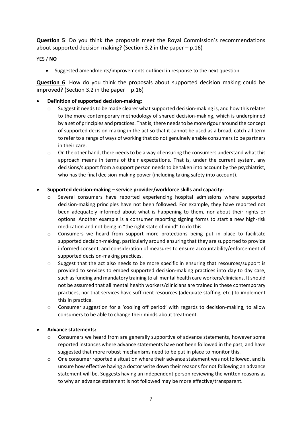**Question 5**: Do you think the proposals meet the Royal Commission's recommendations about supported decision making? (Section 3.2 in the paper – p.16)

YES / **NO**

• Suggested amendments/improvements outlined in response to the next question.

**Question 6**: How do you think the proposals about supported decision making could be improved? (Section 3.2 in the paper  $-$  p.16)

#### • **Definition of supported decision-making:**

- $\circ$  Suggest it needs to be made clearer what supported decision-making is, and how this relates to the more contemporary methodology of shared decision-making, which is underpinned by a set of principles and practices. That is, there needs to be more rigour around the concept of supported decision-making in the act so that it cannot be used as a broad, catch-all term to refer to a range of ways of working that do not genuinely enable consumers to be partners in their care.
- $\circ$  On the other hand, there needs to be a way of ensuring the consumers understand what this approach means in terms of their expectations. That is, under the current system, any decisions/support from a support person needs to be taken into account by the psychiatrist, who has the final decision-making power (including taking safety into account).

#### • **Supported decision-making – service provider/workforce skills and capacity:**

- o Several consumers have reported experiencing hospital admissions where supported decision-making principles have not been followed. For example, they have reported not been adequately informed about what is happening to them, nor about their rights or options. Another example is a consumer reporting signing forms to start a new high-risk medication and not being in "the right state of mind" to do this.
- o Consumers we heard from support more protections being put in place to facilitate supported decision-making, particularly around ensuring that they are supported to provide informed consent, and consideration of measures to ensure accountability/enforcement of supported decision-making practices.
- o Suggest that the act also needs to be more specific in ensuring that resources/support is provided to services to embed supported decision-making practices into day to day care, such as funding and mandatory training to all mental health care workers/clinicians. It should not be assumed that all mental health workers/clinicians are trained in these contemporary practices, nor that services have sufficient resources (adequate staffing, etc.) to implement this in practice.
- o Consumer suggestion for a 'cooling off period' with regards to decision-making, to allow consumers to be able to change their minds about treatment.

#### • **Advance statements:**

- o Consumers we heard from are generally supportive of advance statements, however some reported instances where advance statements have not been followed in the past, and have suggested that more robust mechanisms need to be put in place to monitor this.
- o One consumer reported a situation where their advance statement was not followed, and is unsure how effective having a doctor write down their reasons for not following an advance statement will be. Suggests having an independent person reviewing the written reasons as to why an advance statement is not followed may be more effective/transparent.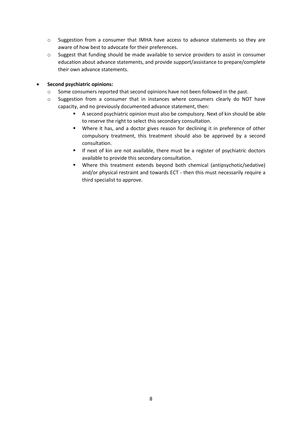- o Suggestion from a consumer that IMHA have access to advance statements so they are aware of how best to advocate for their preferences.
- o Suggest that funding should be made available to service providers to assist in consumer education about advance statements, and provide support/assistance to prepare/complete their own advance statements.

#### • **Second psychiatric opinions:**

- o Some consumers reported that second opinions have not been followed in the past.
- o Suggestion from a consumer that in instances where consumers clearly do NOT have capacity, and no previously documented advance statement, then:
	- A second psychiatric opinion must also be compulsory. Next of kin should be able to reserve the right to select this secondary consultation.
	- Where it has, and a doctor gives reason for declining it in preference of other compulsory treatment, this treatment should also be approved by a second consultation.
	- **■** If next of kin are not available, there must be a register of psychiatric doctors available to provide this secondary consultation.
	- Where this treatment extends beyond both chemical (antipsychotic/sedative) and/or physical restraint and towards ECT - then this must necessarily require a third specialist to approve.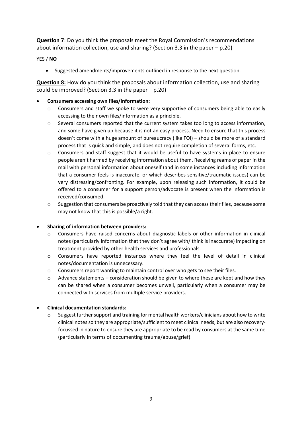**Question 7**: Do you think the proposals meet the Royal Commission's recommendations about information collection, use and sharing? (Section 3.3 in the paper – p.20)

#### YES / **NO**

• Suggested amendments/improvements outlined in response to the next question.

**Question 8:** How do you think the proposals about information collection, use and sharing could be improved? (Section 3.3 in the paper  $-$  p.20)

#### • **Consumers accessing own files/information:**

- $\circ$  Consumers and staff we spoke to were very supportive of consumers being able to easily accessing to their own files/information as a principle.
- o Several consumers reported that the current system takes too long to access information, and some have given up because it is not an easy process. Need to ensure that this process doesn't come with a huge amount of bureaucracy (like FOI) – should be more of a standard process that is quick and simple, and does not require completion of several forms, etc.
- o Consumers and staff suggest that it would be useful to have systems in place to ensure people aren't harmed by receiving information about them. Receiving reams of paper in the mail with personal information about oneself (and in some instances including information that a consumer feels is inaccurate, or which describes sensitive/traumatic issues) can be very distressing/confronting. For example, upon releasing such information, it could be offered to a consumer for a support person/advocate is present when the information is received/consumed.
- o Suggestion that consumers be proactively told that they can access their files, because some may not know that this is possible/a right.

#### • **Sharing of information between providers:**

- o Consumers have raised concerns about diagnostic labels or other information in clinical notes (particularly information that they don't agree with/ think is inaccurate) impacting on treatment provided by other health services and professionals.
- o Consumers have reported instances where they feel the level of detail in clinical notes/documentation is unnecessary.
- o Consumers report wanting to maintain control over who gets to see their files.
- o Advance statements consideration should be given to where these are kept and how they can be shared when a consumer becomes unwell, particularly when a consumer may be connected with services from multiple service providers.

#### • **Clinical documentation standards:**

 $\circ$  Suggest further support and training for mental health workers/clinicians about how to write clinical notes so they are appropriate/sufficient to meet clinical needs, but are also recoveryfocussed in nature to ensure they are appropriate to be read by consumers at the same time (particularly in terms of documenting trauma/abuse/grief).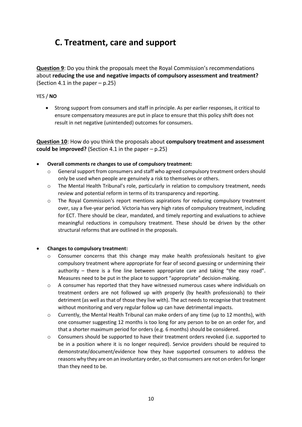## **C. Treatment, care and support**

**Question 9**: Do you think the proposals meet the Royal Commission's recommendations about **reducing the use and negative impacts of compulsory assessment and treatment?** (Section 4.1 in the paper – p.25)

#### YES / **NO**

• Strong support from consumers and staff in principle. As per earlier responses, it critical to ensure compensatory measures are put in place to ensure that this policy shift does not result in net negative (unintended) outcomes for consumers.

**Question 10**: How do you think the proposals about **compulsory treatment and assessment could be improved?** (Section 4.1 in the paper – p.25)

- **Overall comments re changes to use of compulsory treatment:**
	- o General support from consumers and staff who agreed compulsory treatment orders should only be used when people are genuinely a risk to themselves or others.
	- $\circ$  The Mental Health Tribunal's role, particularly in relation to compulsory treatment, needs review and potential reform in terms of its transparency and reporting.
	- o The Royal Commission's report mentions aspirations for reducing compulsory treatment over, say a five-year period. Victoria has very high rates of compulsory treatment, including for ECT. There should be clear, mandated, and timely reporting and evaluations to achieve meaningful reductions in compulsory treatment. These should be driven by the other structural reforms that are outlined in the proposals.

#### • **Changes to compulsory treatment:**

- $\circ$  Consumer concerns that this change may make health professionals hesitant to give compulsory treatment where appropriate for fear of second guessing or undermining their authority  $-$  there is a fine line between appropriate care and taking "the easy road". Measures need to be put in the place to support "appropriate" decision-making.
- $\circ$  A consumer has reported that they have witnessed numerous cases where individuals on treatment orders are not followed up with properly (by health professionals) to their detriment (as well as that of those they live with). The act needs to recognise that treatment without monitoring and very regular follow up can have detrimental impacts.
- o Currently, the Mental Health Tribunal can make orders of any time (up to 12 months), with one consumer suggesting 12 months is too long for any person to be on an order for, and that a shorter maximum period for orders (e.g. 6 months) should be considered.
- o Consumers should be supported to have their treatment orders revoked (i.e. supported to be in a position where it is no longer required). Service providers should be required to demonstrate/document/evidence how they have supported consumers to address the reasons why they are on an involuntary order, so that consumers are not on orders for longer than they need to be.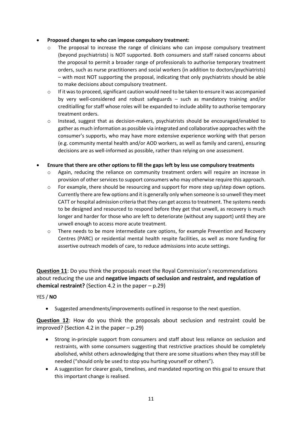#### • **Proposed changes to who can impose compulsory treatment:**

- $\circ$  The proposal to increase the range of clinicians who can impose compulsory treatment (beyond psychiatrists) is NOT supported. Both consumers and staff raised concerns about the proposal to permit a broader range of professionals to authorise temporary treatment orders, such as nurse practitioners and social workers (in addition to doctors/psychiatrists) – with most NOT supporting the proposal, indicating that only psychiatrists should be able to make decisions about compulsory treatment.
- $\circ$  If it was to proceed, significant caution would need to be taken to ensure it was accompanied by very well-considered and robust safeguards – such as mandatory training and/or creditialling for staff whose roles will be expanded to include ability to authorise temporary treatment orders.
- o Instead, suggest that as decision-makers, psychiatrists should be encouraged/enabled to gather as much information as possible via integrated and collaborative approaches with the consumer's supports, who may have more extensive experience working with that person (e.g. community mental health and/or AOD workers, as well as family and carers), ensuring decisions are as well-informed as possible, rather than relying on one assessment.
- **Ensure that there are other options to fill the gaps left by less use compulsory treatments**
	- o Again, reducing the reliance on community treatment orders will require an increase in provision of other services to support consumers who may otherwise require this approach.
	- $\circ$  For example, there should be resourcing and support for more step up/step down options. Currently there are few options and it is generally only when someone is so unwell they meet CATT or hospital admission criteria that they can get access to treatment. The systems needs to be designed and resourced to respond before they get that unwell, as recovery is much longer and harder for those who are left to deteriorate (without any support) until they are unwell enough to access more acute treatment.
	- o There needs to be more intermediate care options, for example Prevention and Recovery Centres (PARC) or residential mental health respite facilities, as well as more funding for assertive outreach models of care, to reduce admissions into acute settings.

**Question 11**: Do you think the proposals meet the Royal Commission's recommendations about reducing the use and **negative impacts of seclusion and restraint, and regulation of chemical restraint?** (Section 4.2 in the paper – p.29)

#### YES / **NO**

• Suggested amendments/improvements outlined in response to the next question.

**Question 12**: How do you think the proposals about seclusion and restraint could be improved? (Section 4.2 in the paper  $-$  p.29)

- Strong in-principle support from consumers and staff about less reliance on seclusion and restraints, with some consumers suggesting that restrictive practices should be completely abolished, whilst others acknowledging that there are some situations when they may still be needed ("should only be used to stop you hurting yourself or others").
- A suggestion for clearer goals, timelines, and mandated reporting on this goal to ensure that this important change is realised.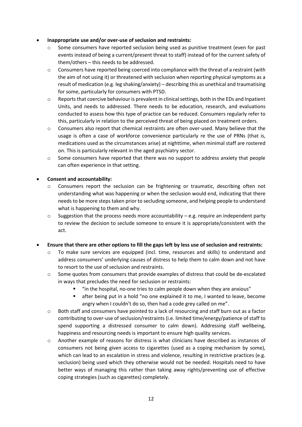#### • **Inappropriate use and/or over-use of seclusion and restraints:**

- $\circ$  Some consumers have reported seclusion being used as punitive treatment (even for past events instead of being a current/present threat to staff) instead of for the current safety of them/others – this needs to be addressed.
- $\circ$  Consumers have reported being coerced into compliance with the threat of a restraint (with the aim of not using it) or threatened with seclusion when reporting physical symptoms as a result of medication (e.g. leg shaking/anxiety) – describing this as unethical and traumatising for some, particularly for consumers with PTSD.
- o Reports that coercive behaviour is prevalent in clinical settings, both in the EDs and Inpatient Units, and needs to addressed. There needs to be education, research, and evaluations conducted to assess how this type of practice can be reduced. Consumers regularly refer to this, particularly in relation to the perceived threat of being placed on treatment orders.
- o Consumers also report that chemical restraints are often over-used. Many believe that the usage is often a case of workforce convenience particularly re the use of PRNs (that is, medications used as the circumstances arise) at nighttime, when minimal staff are rostered on. This is particularly relevant in the aged psychiatry sector.
- $\circ$  Some consumers have reported that there was no support to address anxiety that people can often experience in that setting.

#### • **Consent and accountability:**

- $\circ$  Consumers report the seclusion can be frightening or traumatic, describing often not understanding what was happening or when the seclusion would end, indicating that there needs to be more steps taken prior to secluding someone, and helping people to understand what is happening to them and why.
- $\circ$  Suggestion that the process needs more accountability e.g. require an independent party to review the decision to seclude someone to ensure it is appropriate/consistent with the act.

#### • **Ensure that there are other options to fill the gaps left by less use of seclusion and restraints:**

- o To make sure services are equipped (incl. time, resources and skills) to understand and address consumers' underlying causes of distress to help them to calm down and not have to resort to the use of seclusion and restraints.
- o Some quotes from consumers that provide examples of distress that could be de-escalated in ways that precludes the need for seclusion or restraints:
	- "in the hospital, no-one tries to calm people down when they are anxious"
	- after being put in a hold "no one explained it to me, I wanted to leave, become angry when I couldn't do so, then had a code grey called on me".
- o Both staff and consumers have pointed to a lack of resourcing and staff burn out as a factor contributing to over-use of seclusion/restraints (i.e. limited time/energy/patience of staff to spend supporting a distressed consumer to calm down). Addressing staff wellbeing, happiness and resourcing needs is important to ensure high quality services.
- o Another example of reasons for distress is what clinicians have described as instances of consumers not being given access to cigarettes (used as a coping mechanism by some), which can lead to an escalation in stress and violence, resulting in restrictive practices (e.g. seclusion) being used which they otherwise would not be needed. Hospitals need to have better ways of managing this rather than taking away rights/preventing use of effective coping strategies (such as cigarettes) completely.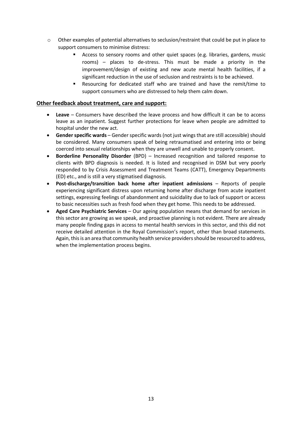- o Other examples of potential alternatives to seclusion/restraint that could be put in place to support consumers to minimise distress:
	- **EX Access to sensory rooms and other quiet spaces (e.g. libraries, gardens, music** rooms) – places to de-stress. This must be made a priority in the improvement/design of existing and new acute mental health facilities, if a significant reduction in the use of seclusion and restraints is to be achieved.
	- Resourcing for dedicated staff who are trained and have the remit/time to support consumers who are distressed to help them calm down.

#### **Other feedback about treatment, care and support:**

- **Leave** Consumers have described the leave process and how difficult it can be to access leave as an inpatient. Suggest further protections for leave when people are admitted to hospital under the new act.
- **Gender specific wards** Gender specific wards (not just wings that are still accessible) should be considered. Many consumers speak of being retraumatised and entering into or being coerced into sexual relationships when they are unwell and unable to properly consent.
- **Borderline Personality Disorder** (BPD) Increased recognition and tailored response to clients with BPD diagnosis is needed. It is listed and recognised in DSM but very poorly responded to by Crisis Assessment and Treatment Teams (CATT), Emergency Departments (ED) etc., and is still a very stigmatised diagnosis.
- **Post-discharge/transition back home after inpatient admissions** Reports of people experiencing significant distress upon returning home after discharge from acute inpatient settings, expressing feelings of abandonment and suicidality due to lack of support or access to basic necessities such as fresh food when they get home. This needs to be addressed.
- **Aged Care Psychiatric Services** Our ageing population means that demand for services in this sector are growing as we speak, and proactive planning is not evident. There are already many people finding gaps in access to mental health services in this sector, and this did not receive detailed attention in the Royal Commission's report, other than broad statements. Again, this is an area that community health service providers should be resourced to address, when the implementation process begins.